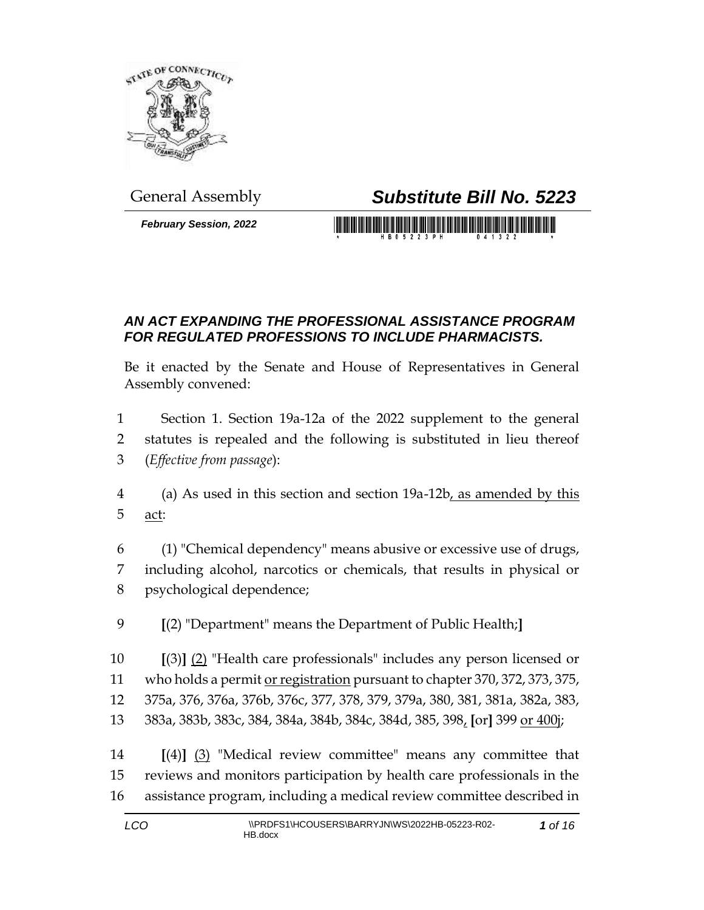

*February Session, 2022*

## General Assembly *Substitute Bill No. 5223*

<u> 1999 - Johann Maria Barat, martin shkriti ma</u>

## *AN ACT EXPANDING THE PROFESSIONAL ASSISTANCE PROGRAM FOR REGULATED PROFESSIONS TO INCLUDE PHARMACISTS.*

Be it enacted by the Senate and House of Representatives in General Assembly convened:

 Section 1. Section 19a-12a of the 2022 supplement to the general statutes is repealed and the following is substituted in lieu thereof (*Effective from passage*):

 (a) As used in this section and section 19a-12b, as amended by this act:

 (1) "Chemical dependency" means abusive or excessive use of drugs, including alcohol, narcotics or chemicals, that results in physical or psychological dependence;

**[**(2) "Department" means the Department of Public Health;**]**

 **[**(3)**]** (2) "Health care professionals" includes any person licensed or 11 who holds a permit <u>or registration</u> pursuant to chapter 370, 372, 373, 375, 375a, 376, 376a, 376b, 376c, 377, 378, 379, 379a, 380, 381, 381a, 382a, 383, 383a, 383b, 383c, 384, 384a, 384b, 384c, 384d, 385, 398, **[**or**]** 399 or 400j;

 **[**(4)**]** (3) "Medical review committee" means any committee that reviews and monitors participation by health care professionals in the assistance program, including a medical review committee described in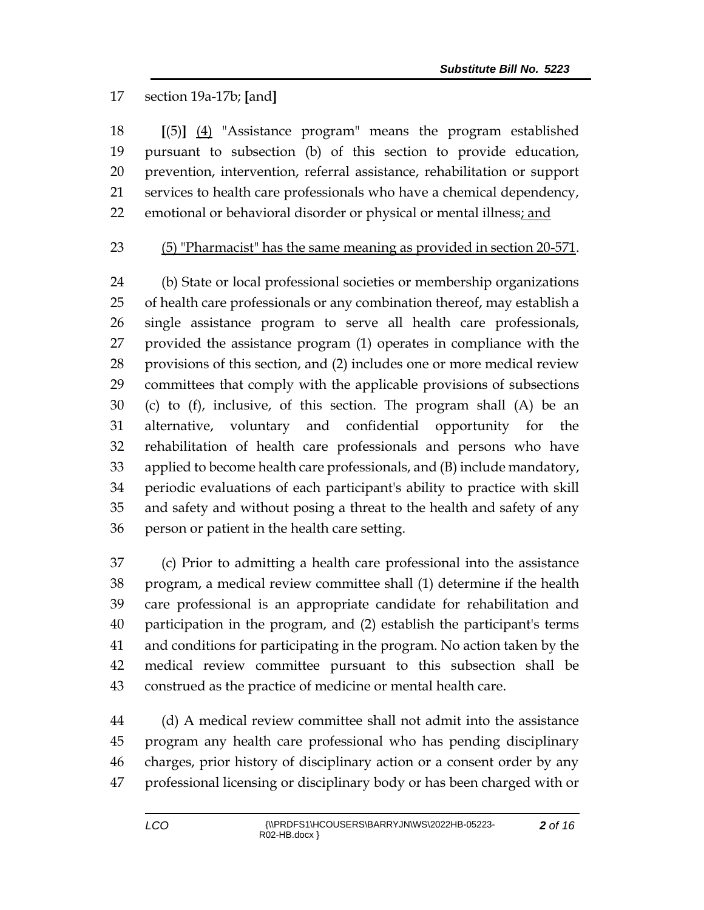## section 19a-17b; **[**and**]**

 **[**(5)**]** (4) "Assistance program" means the program established pursuant to subsection (b) of this section to provide education, prevention, intervention, referral assistance, rehabilitation or support services to health care professionals who have a chemical dependency, 22 emotional or behavioral disorder or physical or mental illness; and

## (5) "Pharmacist" has the same meaning as provided in section 20-571.

 (b) State or local professional societies or membership organizations of health care professionals or any combination thereof, may establish a single assistance program to serve all health care professionals, provided the assistance program (1) operates in compliance with the provisions of this section, and (2) includes one or more medical review committees that comply with the applicable provisions of subsections (c) to (f), inclusive, of this section. The program shall (A) be an alternative, voluntary and confidential opportunity for the rehabilitation of health care professionals and persons who have applied to become health care professionals, and (B) include mandatory, periodic evaluations of each participant's ability to practice with skill and safety and without posing a threat to the health and safety of any person or patient in the health care setting.

 (c) Prior to admitting a health care professional into the assistance program, a medical review committee shall (1) determine if the health care professional is an appropriate candidate for rehabilitation and participation in the program, and (2) establish the participant's terms and conditions for participating in the program. No action taken by the medical review committee pursuant to this subsection shall be construed as the practice of medicine or mental health care.

 (d) A medical review committee shall not admit into the assistance program any health care professional who has pending disciplinary charges, prior history of disciplinary action or a consent order by any professional licensing or disciplinary body or has been charged with or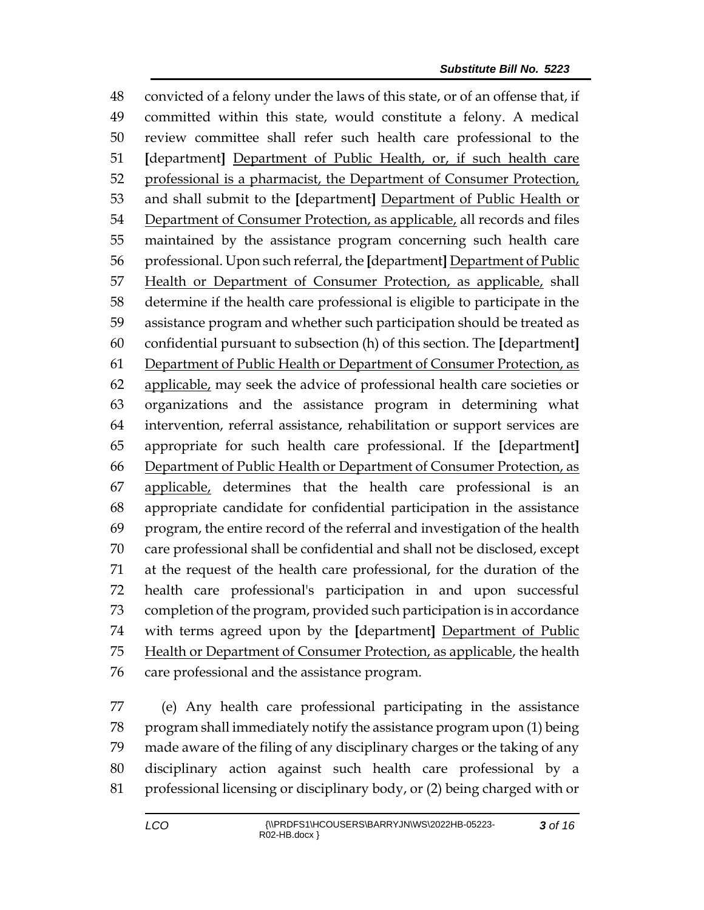convicted of a felony under the laws of this state, or of an offense that, if committed within this state, would constitute a felony. A medical review committee shall refer such health care professional to the **[**department**]** Department of Public Health, or, if such health care professional is a pharmacist, the Department of Consumer Protection, and shall submit to the **[**department**]** Department of Public Health or 54 Department of Consumer Protection, as applicable, all records and files maintained by the assistance program concerning such health care professional. Upon such referral, the **[**department**]** Department of Public Health or Department of Consumer Protection, as applicable, shall determine if the health care professional is eligible to participate in the assistance program and whether such participation should be treated as confidential pursuant to subsection (h) of this section. The **[**department**]** Department of Public Health or Department of Consumer Protection, as 62 applicable, may seek the advice of professional health care societies or organizations and the assistance program in determining what intervention, referral assistance, rehabilitation or support services are appropriate for such health care professional. If the **[**department**]** Department of Public Health or Department of Consumer Protection, as applicable, determines that the health care professional is an appropriate candidate for confidential participation in the assistance program, the entire record of the referral and investigation of the health care professional shall be confidential and shall not be disclosed, except at the request of the health care professional, for the duration of the health care professional's participation in and upon successful completion of the program, provided such participation is in accordance with terms agreed upon by the **[**department**]** Department of Public 75 Health or Department of Consumer Protection, as applicable, the health care professional and the assistance program.

 (e) Any health care professional participating in the assistance program shall immediately notify the assistance program upon (1) being made aware of the filing of any disciplinary charges or the taking of any disciplinary action against such health care professional by a professional licensing or disciplinary body, or (2) being charged with or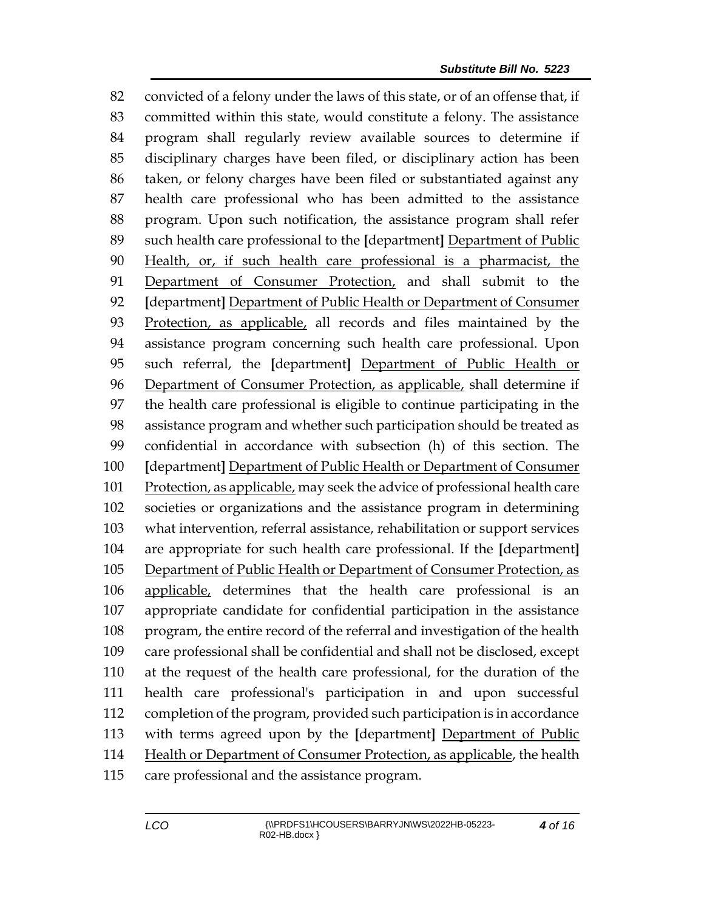convicted of a felony under the laws of this state, or of an offense that, if committed within this state, would constitute a felony. The assistance program shall regularly review available sources to determine if disciplinary charges have been filed, or disciplinary action has been taken, or felony charges have been filed or substantiated against any health care professional who has been admitted to the assistance program. Upon such notification, the assistance program shall refer such health care professional to the **[**department**]** Department of Public Health, or, if such health care professional is a pharmacist, the Department of Consumer Protection, and shall submit to the **[**department**]** Department of Public Health or Department of Consumer Protection, as applicable, all records and files maintained by the assistance program concerning such health care professional. Upon such referral, the **[**department**]** Department of Public Health or 96 Department of Consumer Protection, as applicable, shall determine if the health care professional is eligible to continue participating in the assistance program and whether such participation should be treated as confidential in accordance with subsection (h) of this section. The **[**department**]** Department of Public Health or Department of Consumer Protection, as applicable, may seek the advice of professional health care societies or organizations and the assistance program in determining what intervention, referral assistance, rehabilitation or support services are appropriate for such health care professional. If the **[**department**]** Department of Public Health or Department of Consumer Protection, as applicable, determines that the health care professional is an appropriate candidate for confidential participation in the assistance program, the entire record of the referral and investigation of the health care professional shall be confidential and shall not be disclosed, except at the request of the health care professional, for the duration of the health care professional's participation in and upon successful completion of the program, provided such participation is in accordance with terms agreed upon by the **[**department**]** Department of Public Health or Department of Consumer Protection, as applicable, the health care professional and the assistance program.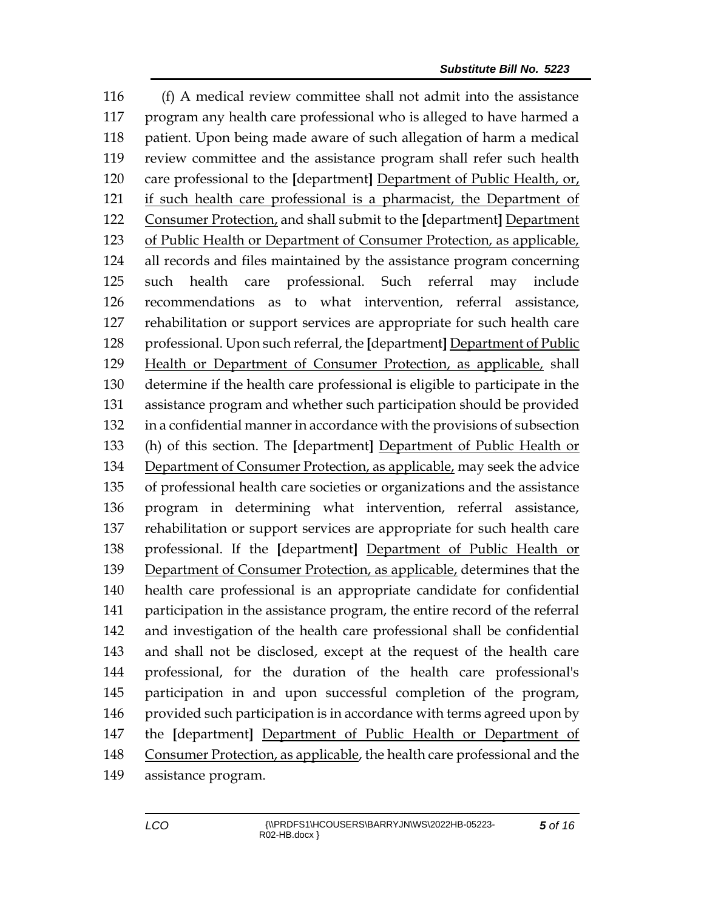(f) A medical review committee shall not admit into the assistance program any health care professional who is alleged to have harmed a patient. Upon being made aware of such allegation of harm a medical review committee and the assistance program shall refer such health care professional to the **[**department**]** Department of Public Health, or, if such health care professional is a pharmacist, the Department of Consumer Protection, and shall submit to the **[**department**]** Department of Public Health or Department of Consumer Protection, as applicable, all records and files maintained by the assistance program concerning such health care professional. Such referral may include recommendations as to what intervention, referral assistance, rehabilitation or support services are appropriate for such health care professional. Upon such referral, the **[**department**]** Department of Public Health or Department of Consumer Protection, as applicable, shall determine if the health care professional is eligible to participate in the assistance program and whether such participation should be provided in a confidential manner in accordance with the provisions of subsection (h) of this section. The **[**department**]** Department of Public Health or Department of Consumer Protection, as applicable, may seek the advice of professional health care societies or organizations and the assistance program in determining what intervention, referral assistance, rehabilitation or support services are appropriate for such health care professional. If the **[**department**]** Department of Public Health or Department of Consumer Protection, as applicable, determines that the health care professional is an appropriate candidate for confidential participation in the assistance program, the entire record of the referral and investigation of the health care professional shall be confidential and shall not be disclosed, except at the request of the health care professional, for the duration of the health care professional's participation in and upon successful completion of the program, 146 provided such participation is in accordance with terms agreed upon by the **[**department**]** Department of Public Health or Department of Consumer Protection, as applicable, the health care professional and the assistance program.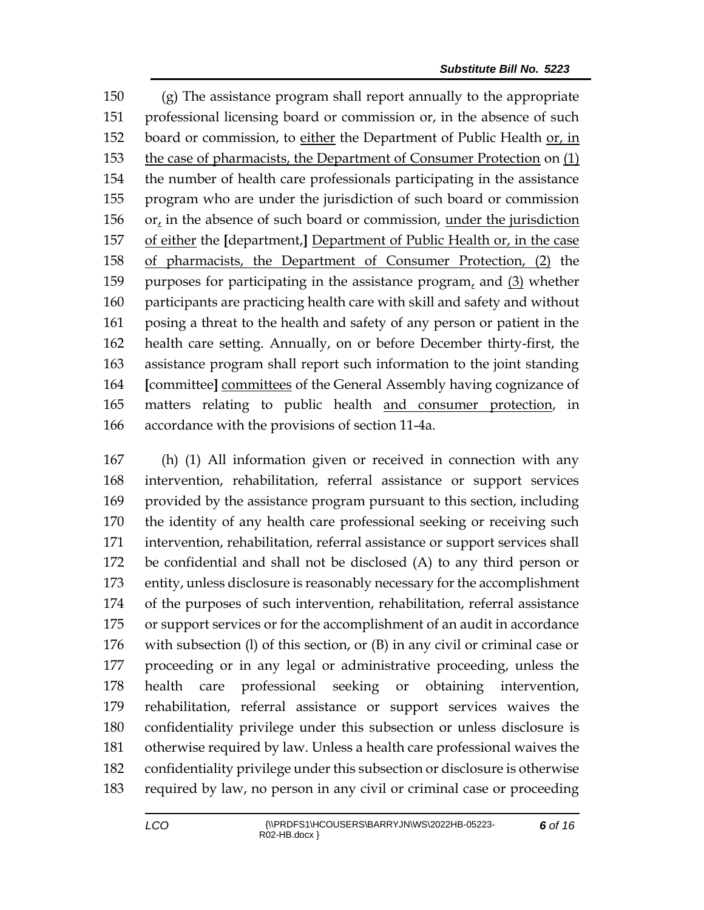(g) The assistance program shall report annually to the appropriate professional licensing board or commission or, in the absence of such board or commission, to either the Department of Public Health or, in the case of pharmacists, the Department of Consumer Protection on (1) the number of health care professionals participating in the assistance program who are under the jurisdiction of such board or commission 156 or, in the absence of such board or commission, under the jurisdiction of either the **[**department,**]** Department of Public Health or, in the case of pharmacists, the Department of Consumer Protection, (2) the purposes for participating in the assistance program, and (3) whether participants are practicing health care with skill and safety and without posing a threat to the health and safety of any person or patient in the health care setting. Annually, on or before December thirty-first, the assistance program shall report such information to the joint standing **[**committee**]** committees of the General Assembly having cognizance of matters relating to public health and consumer protection, in accordance with the provisions of section 11-4a.

 (h) (1) All information given or received in connection with any intervention, rehabilitation, referral assistance or support services provided by the assistance program pursuant to this section, including the identity of any health care professional seeking or receiving such intervention, rehabilitation, referral assistance or support services shall be confidential and shall not be disclosed (A) to any third person or entity, unless disclosure is reasonably necessary for the accomplishment of the purposes of such intervention, rehabilitation, referral assistance or support services or for the accomplishment of an audit in accordance with subsection (l) of this section, or (B) in any civil or criminal case or proceeding or in any legal or administrative proceeding, unless the health care professional seeking or obtaining intervention, rehabilitation, referral assistance or support services waives the confidentiality privilege under this subsection or unless disclosure is otherwise required by law. Unless a health care professional waives the confidentiality privilege under this subsection or disclosure is otherwise required by law, no person in any civil or criminal case or proceeding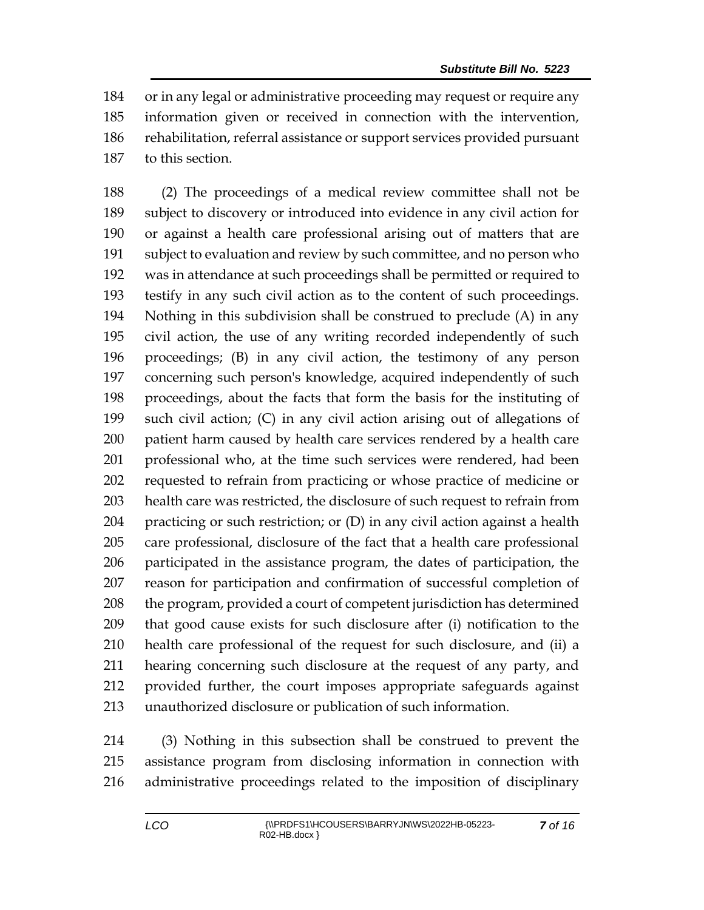or in any legal or administrative proceeding may request or require any information given or received in connection with the intervention, rehabilitation, referral assistance or support services provided pursuant to this section.

 (2) The proceedings of a medical review committee shall not be subject to discovery or introduced into evidence in any civil action for or against a health care professional arising out of matters that are subject to evaluation and review by such committee, and no person who was in attendance at such proceedings shall be permitted or required to testify in any such civil action as to the content of such proceedings. Nothing in this subdivision shall be construed to preclude (A) in any civil action, the use of any writing recorded independently of such proceedings; (B) in any civil action, the testimony of any person concerning such person's knowledge, acquired independently of such proceedings, about the facts that form the basis for the instituting of such civil action; (C) in any civil action arising out of allegations of patient harm caused by health care services rendered by a health care professional who, at the time such services were rendered, had been requested to refrain from practicing or whose practice of medicine or health care was restricted, the disclosure of such request to refrain from practicing or such restriction; or (D) in any civil action against a health care professional, disclosure of the fact that a health care professional participated in the assistance program, the dates of participation, the reason for participation and confirmation of successful completion of 208 the program, provided a court of competent jurisdiction has determined that good cause exists for such disclosure after (i) notification to the health care professional of the request for such disclosure, and (ii) a hearing concerning such disclosure at the request of any party, and provided further, the court imposes appropriate safeguards against unauthorized disclosure or publication of such information.

 (3) Nothing in this subsection shall be construed to prevent the assistance program from disclosing information in connection with administrative proceedings related to the imposition of disciplinary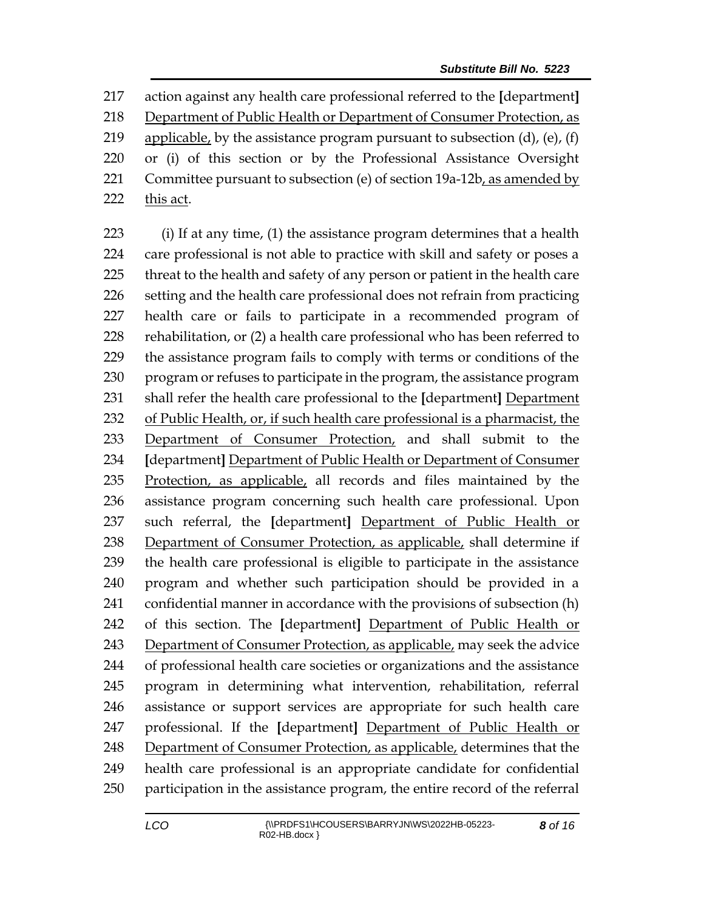action against any health care professional referred to the **[**department**]** Department of Public Health or Department of Consumer Protection, as 219 applicable, by the assistance program pursuant to subsection  $(d)$ ,  $(e)$ ,  $(f)$  or (i) of this section or by the Professional Assistance Oversight 221 Committee pursuant to subsection (e) of section  $19a-12b$ , as amended by 222 this act.

 (i) If at any time, (1) the assistance program determines that a health care professional is not able to practice with skill and safety or poses a threat to the health and safety of any person or patient in the health care setting and the health care professional does not refrain from practicing health care or fails to participate in a recommended program of rehabilitation, or (2) a health care professional who has been referred to the assistance program fails to comply with terms or conditions of the program or refuses to participate in the program, the assistance program shall refer the health care professional to the **[**department**]** Department of Public Health, or, if such health care professional is a pharmacist, the Department of Consumer Protection, and shall submit to the **[**department**]** Department of Public Health or Department of Consumer Protection, as applicable, all records and files maintained by the assistance program concerning such health care professional. Upon such referral, the **[**department**]** Department of Public Health or Department of Consumer Protection, as applicable, shall determine if the health care professional is eligible to participate in the assistance program and whether such participation should be provided in a confidential manner in accordance with the provisions of subsection (h) of this section. The **[**department**]** Department of Public Health or Department of Consumer Protection, as applicable, may seek the advice of professional health care societies or organizations and the assistance program in determining what intervention, rehabilitation, referral assistance or support services are appropriate for such health care professional. If the **[**department**]** Department of Public Health or Department of Consumer Protection, as applicable, determines that the health care professional is an appropriate candidate for confidential participation in the assistance program, the entire record of the referral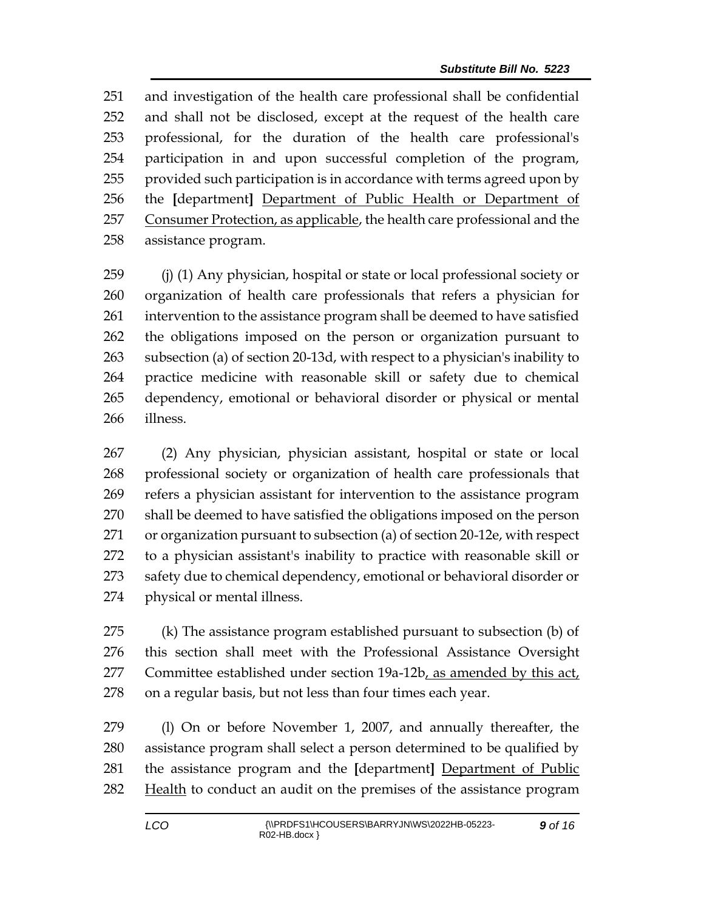and investigation of the health care professional shall be confidential and shall not be disclosed, except at the request of the health care professional, for the duration of the health care professional's participation in and upon successful completion of the program, provided such participation is in accordance with terms agreed upon by the **[**department**]** Department of Public Health or Department of 257 Consumer Protection, as applicable, the health care professional and the assistance program.

 (j) (1) Any physician, hospital or state or local professional society or organization of health care professionals that refers a physician for intervention to the assistance program shall be deemed to have satisfied the obligations imposed on the person or organization pursuant to subsection (a) of section 20-13d, with respect to a physician's inability to practice medicine with reasonable skill or safety due to chemical dependency, emotional or behavioral disorder or physical or mental illness.

 (2) Any physician, physician assistant, hospital or state or local professional society or organization of health care professionals that refers a physician assistant for intervention to the assistance program shall be deemed to have satisfied the obligations imposed on the person or organization pursuant to subsection (a) of section 20-12e, with respect to a physician assistant's inability to practice with reasonable skill or 273 safety due to chemical dependency, emotional or behavioral disorder or physical or mental illness.

 (k) The assistance program established pursuant to subsection (b) of this section shall meet with the Professional Assistance Oversight Committee established under section 19a-12b, as amended by this act, on a regular basis, but not less than four times each year.

 (l) On or before November 1, 2007, and annually thereafter, the assistance program shall select a person determined to be qualified by the assistance program and the **[**department**]** Department of Public Health to conduct an audit on the premises of the assistance program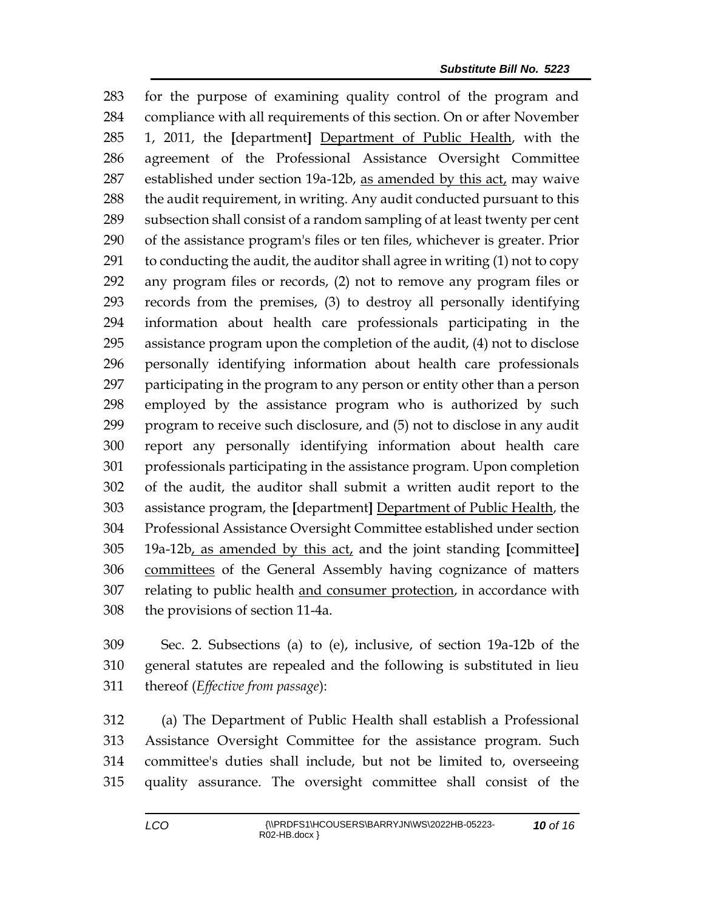for the purpose of examining quality control of the program and compliance with all requirements of this section. On or after November 1, 2011, the **[**department**]** Department of Public Health, with the agreement of the Professional Assistance Oversight Committee 287 established under section 19a-12b, as amended by this act, may waive 288 the audit requirement, in writing. Any audit conducted pursuant to this subsection shall consist of a random sampling of at least twenty per cent of the assistance program's files or ten files, whichever is greater. Prior to conducting the audit, the auditor shall agree in writing (1) not to copy any program files or records, (2) not to remove any program files or records from the premises, (3) to destroy all personally identifying information about health care professionals participating in the assistance program upon the completion of the audit, (4) not to disclose personally identifying information about health care professionals participating in the program to any person or entity other than a person employed by the assistance program who is authorized by such program to receive such disclosure, and (5) not to disclose in any audit report any personally identifying information about health care professionals participating in the assistance program. Upon completion of the audit, the auditor shall submit a written audit report to the assistance program, the **[**department**]** Department of Public Health, the Professional Assistance Oversight Committee established under section 19a-12b, as amended by this act, and the joint standing **[**committee**]** committees of the General Assembly having cognizance of matters relating to public health and consumer protection, in accordance with the provisions of section 11-4a.

 Sec. 2. Subsections (a) to (e), inclusive, of section 19a-12b of the general statutes are repealed and the following is substituted in lieu thereof (*Effective from passage*):

 (a) The Department of Public Health shall establish a Professional Assistance Oversight Committee for the assistance program. Such committee's duties shall include, but not be limited to, overseeing quality assurance. The oversight committee shall consist of the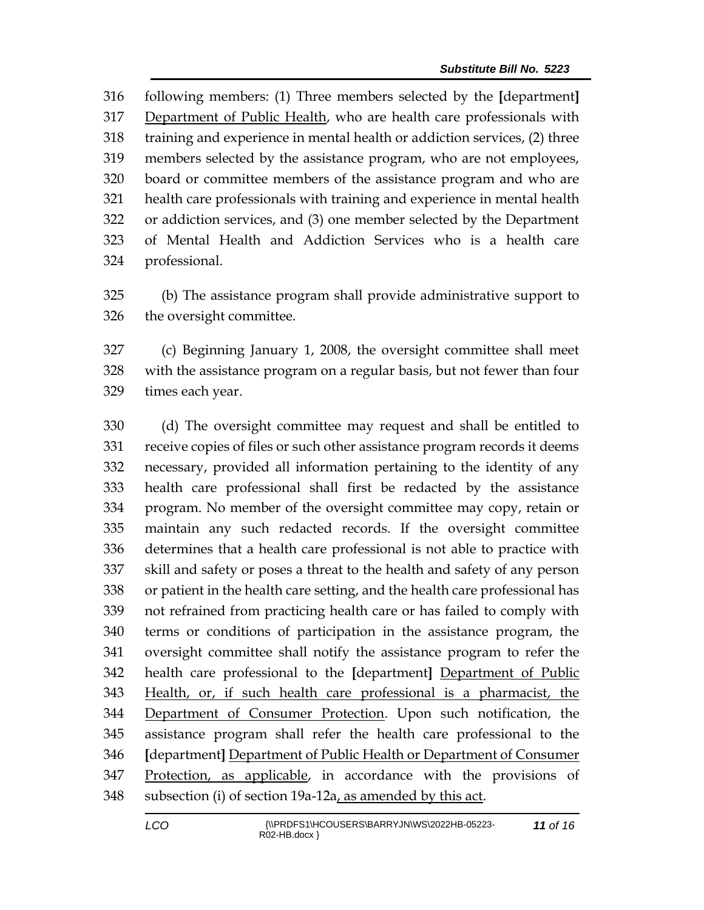following members: (1) Three members selected by the **[**department**]** Department of Public Health, who are health care professionals with training and experience in mental health or addiction services, (2) three members selected by the assistance program, who are not employees, board or committee members of the assistance program and who are health care professionals with training and experience in mental health or addiction services, and (3) one member selected by the Department of Mental Health and Addiction Services who is a health care professional.

 (b) The assistance program shall provide administrative support to the oversight committee.

 (c) Beginning January 1, 2008, the oversight committee shall meet with the assistance program on a regular basis, but not fewer than four times each year.

 (d) The oversight committee may request and shall be entitled to receive copies of files or such other assistance program records it deems necessary, provided all information pertaining to the identity of any health care professional shall first be redacted by the assistance program. No member of the oversight committee may copy, retain or maintain any such redacted records. If the oversight committee determines that a health care professional is not able to practice with skill and safety or poses a threat to the health and safety of any person or patient in the health care setting, and the health care professional has not refrained from practicing health care or has failed to comply with terms or conditions of participation in the assistance program, the oversight committee shall notify the assistance program to refer the health care professional to the **[**department**]** Department of Public Health, or, if such health care professional is a pharmacist, the Department of Consumer Protection. Upon such notification, the assistance program shall refer the health care professional to the **[**department**]** Department of Public Health or Department of Consumer Protection, as applicable, in accordance with the provisions of subsection (i) of section 19a-12a, as amended by this act.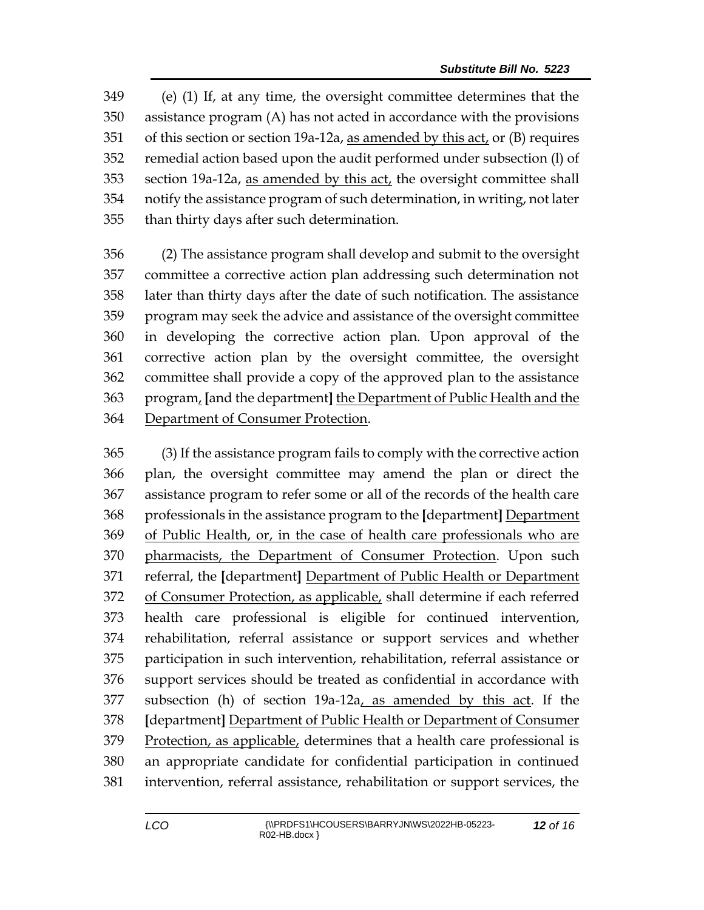(e) (1) If, at any time, the oversight committee determines that the assistance program (A) has not acted in accordance with the provisions of this section or section 19a-12a, as amended by this act, or (B) requires remedial action based upon the audit performed under subsection (l) of section 19a-12a, as amended by this act, the oversight committee shall notify the assistance program of such determination, in writing, not later than thirty days after such determination.

 (2) The assistance program shall develop and submit to the oversight committee a corrective action plan addressing such determination not later than thirty days after the date of such notification. The assistance program may seek the advice and assistance of the oversight committee in developing the corrective action plan. Upon approval of the corrective action plan by the oversight committee, the oversight committee shall provide a copy of the approved plan to the assistance program, **[**and the department**]** the Department of Public Health and the Department of Consumer Protection.

 (3) If the assistance program fails to comply with the corrective action plan, the oversight committee may amend the plan or direct the assistance program to refer some or all of the records of the health care professionals in the assistance program to the **[**department**]** Department of Public Health, or, in the case of health care professionals who are pharmacists, the Department of Consumer Protection. Upon such referral, the **[**department**]** Department of Public Health or Department of Consumer Protection, as applicable, shall determine if each referred health care professional is eligible for continued intervention, rehabilitation, referral assistance or support services and whether participation in such intervention, rehabilitation, referral assistance or support services should be treated as confidential in accordance with subsection (h) of section 19a-12a, as amended by this act. If the **[**department**]** Department of Public Health or Department of Consumer Protection, as applicable, determines that a health care professional is an appropriate candidate for confidential participation in continued intervention, referral assistance, rehabilitation or support services, the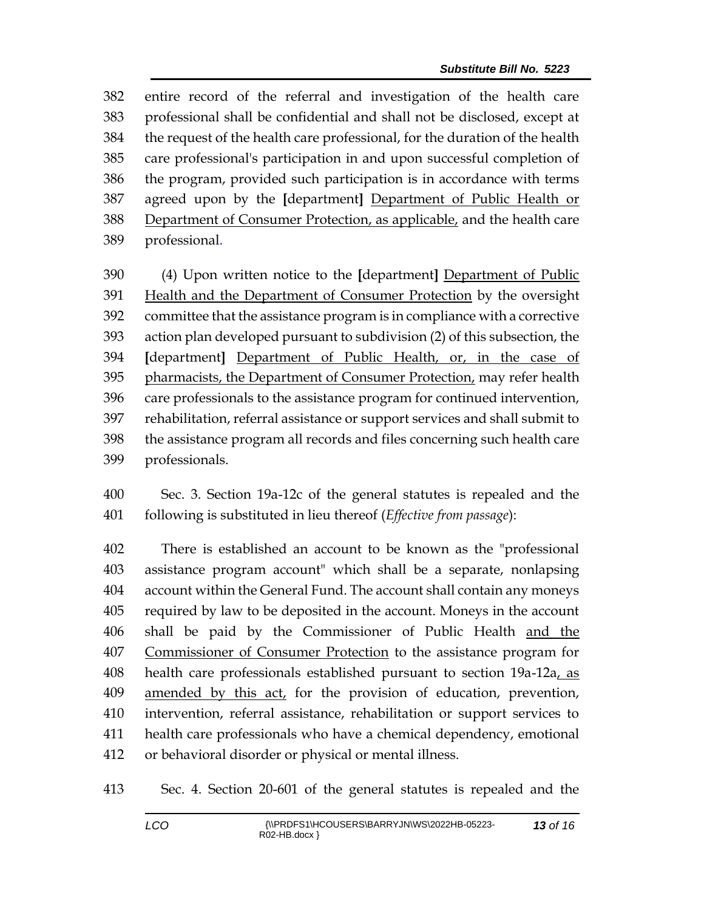entire record of the referral and investigation of the health care professional shall be confidential and shall not be disclosed, except at the request of the health care professional, for the duration of the health care professional's participation in and upon successful completion of the program, provided such participation is in accordance with terms agreed upon by the **[**department**]** Department of Public Health or 388 Department of Consumer Protection, as applicable, and the health care professional.

 (4) Upon written notice to the **[**department**]** Department of Public 391 Health and the Department of Consumer Protection by the oversight committee that the assistance program is in compliance with a corrective action plan developed pursuant to subdivision (2) of this subsection, the **[**department**]** Department of Public Health, or, in the case of 395 pharmacists, the Department of Consumer Protection, may refer health care professionals to the assistance program for continued intervention, rehabilitation, referral assistance or support services and shall submit to the assistance program all records and files concerning such health care professionals.

 Sec. 3. Section 19a-12c of the general statutes is repealed and the following is substituted in lieu thereof (*Effective from passage*):

 There is established an account to be known as the "professional assistance program account" which shall be a separate, nonlapsing account within the General Fund. The account shall contain any moneys required by law to be deposited in the account. Moneys in the account shall be paid by the Commissioner of Public Health and the Commissioner of Consumer Protection to the assistance program for health care professionals established pursuant to section 19a-12a, as amended by this act, for the provision of education, prevention, intervention, referral assistance, rehabilitation or support services to health care professionals who have a chemical dependency, emotional or behavioral disorder or physical or mental illness.

Sec. 4. Section 20-601 of the general statutes is repealed and the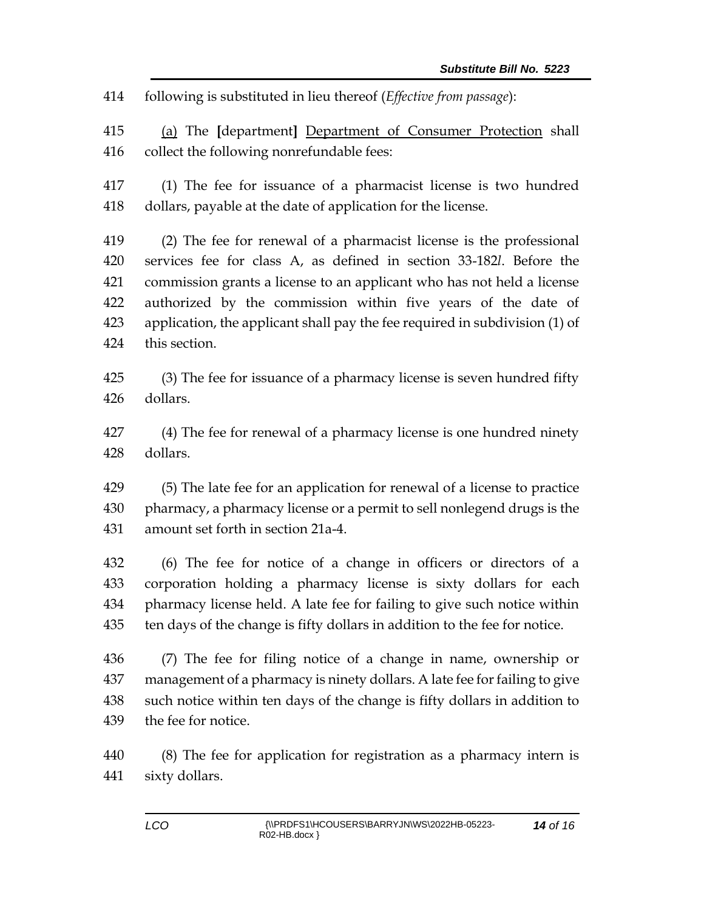following is substituted in lieu thereof (*Effective from passage*):

 (a) The **[**department**]** Department of Consumer Protection shall collect the following nonrefundable fees:

 (1) The fee for issuance of a pharmacist license is two hundred dollars, payable at the date of application for the license.

 (2) The fee for renewal of a pharmacist license is the professional services fee for class A, as defined in section 33-182*l*. Before the commission grants a license to an applicant who has not held a license authorized by the commission within five years of the date of application, the applicant shall pay the fee required in subdivision (1) of this section.

 (3) The fee for issuance of a pharmacy license is seven hundred fifty dollars.

 (4) The fee for renewal of a pharmacy license is one hundred ninety dollars.

 (5) The late fee for an application for renewal of a license to practice pharmacy, a pharmacy license or a permit to sell nonlegend drugs is the amount set forth in section 21a-4.

 (6) The fee for notice of a change in officers or directors of a corporation holding a pharmacy license is sixty dollars for each pharmacy license held. A late fee for failing to give such notice within ten days of the change is fifty dollars in addition to the fee for notice.

 (7) The fee for filing notice of a change in name, ownership or management of a pharmacy is ninety dollars. A late fee for failing to give such notice within ten days of the change is fifty dollars in addition to the fee for notice.

 (8) The fee for application for registration as a pharmacy intern is sixty dollars.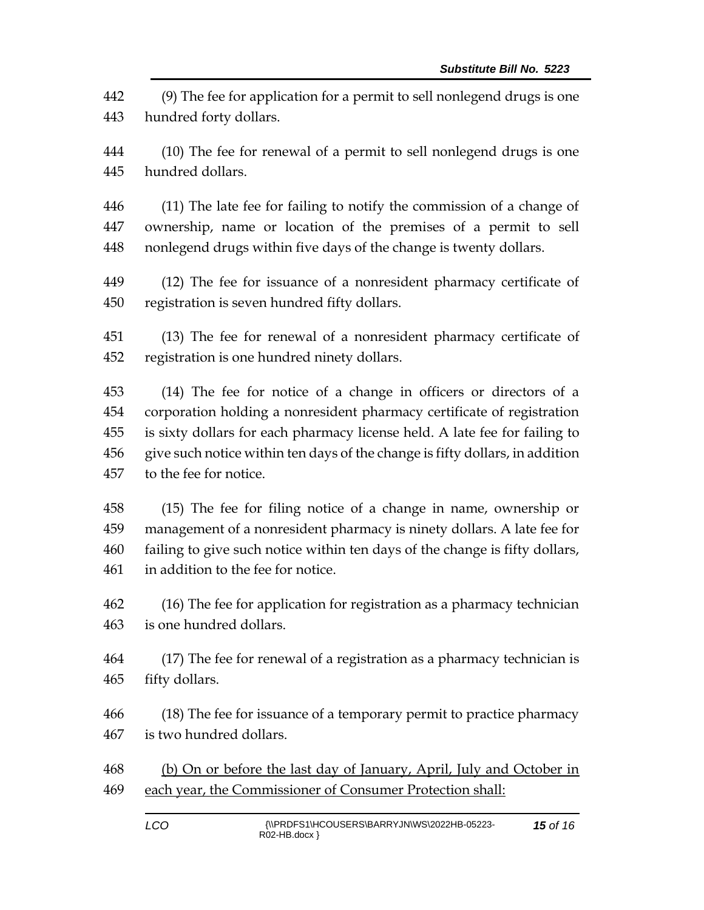(9) The fee for application for a permit to sell nonlegend drugs is one hundred forty dollars.

 (10) The fee for renewal of a permit to sell nonlegend drugs is one hundred dollars.

 (11) The late fee for failing to notify the commission of a change of ownership, name or location of the premises of a permit to sell nonlegend drugs within five days of the change is twenty dollars.

 (12) The fee for issuance of a nonresident pharmacy certificate of registration is seven hundred fifty dollars.

 (13) The fee for renewal of a nonresident pharmacy certificate of registration is one hundred ninety dollars.

 (14) The fee for notice of a change in officers or directors of a corporation holding a nonresident pharmacy certificate of registration is sixty dollars for each pharmacy license held. A late fee for failing to give such notice within ten days of the change is fifty dollars, in addition to the fee for notice.

 (15) The fee for filing notice of a change in name, ownership or management of a nonresident pharmacy is ninety dollars. A late fee for failing to give such notice within ten days of the change is fifty dollars, in addition to the fee for notice.

 (16) The fee for application for registration as a pharmacy technician is one hundred dollars.

 (17) The fee for renewal of a registration as a pharmacy technician is fifty dollars.

 (18) The fee for issuance of a temporary permit to practice pharmacy is two hundred dollars.

468 (b) On or before the last day of January, April, July and October in 469 each year, the Commissioner of Consumer Protection shall: